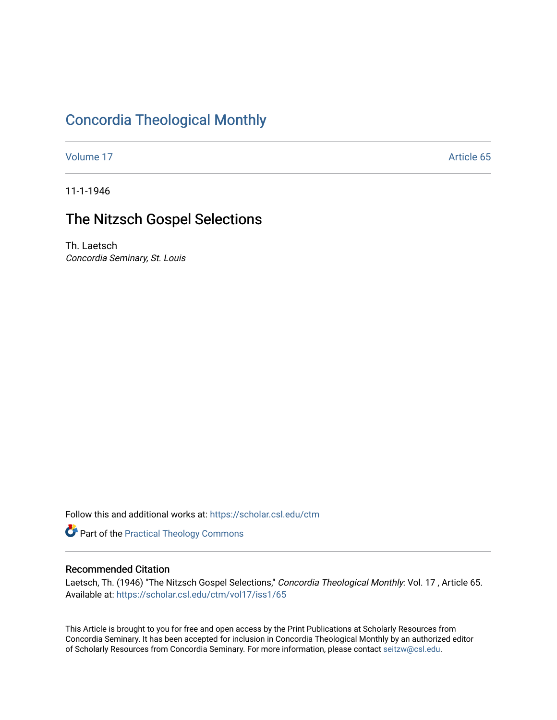# [Concordia Theological Monthly](https://scholar.csl.edu/ctm)

[Volume 17](https://scholar.csl.edu/ctm/vol17) Article 65

11-1-1946

## The Nitzsch Gospel Selections

Th. Laetsch Concordia Seminary, St. Louis

Follow this and additional works at: [https://scholar.csl.edu/ctm](https://scholar.csl.edu/ctm?utm_source=scholar.csl.edu%2Fctm%2Fvol17%2Fiss1%2F65&utm_medium=PDF&utm_campaign=PDFCoverPages)

Part of the [Practical Theology Commons](http://network.bepress.com/hgg/discipline/1186?utm_source=scholar.csl.edu%2Fctm%2Fvol17%2Fiss1%2F65&utm_medium=PDF&utm_campaign=PDFCoverPages)

### Recommended Citation

Laetsch, Th. (1946) "The Nitzsch Gospel Selections," Concordia Theological Monthly: Vol. 17, Article 65. Available at: [https://scholar.csl.edu/ctm/vol17/iss1/65](https://scholar.csl.edu/ctm/vol17/iss1/65?utm_source=scholar.csl.edu%2Fctm%2Fvol17%2Fiss1%2F65&utm_medium=PDF&utm_campaign=PDFCoverPages) 

This Article is brought to you for free and open access by the Print Publications at Scholarly Resources from Concordia Seminary. It has been accepted for inclusion in Concordia Theological Monthly by an authorized editor of Scholarly Resources from Concordia Seminary. For more information, please contact [seitzw@csl.edu](mailto:seitzw@csl.edu).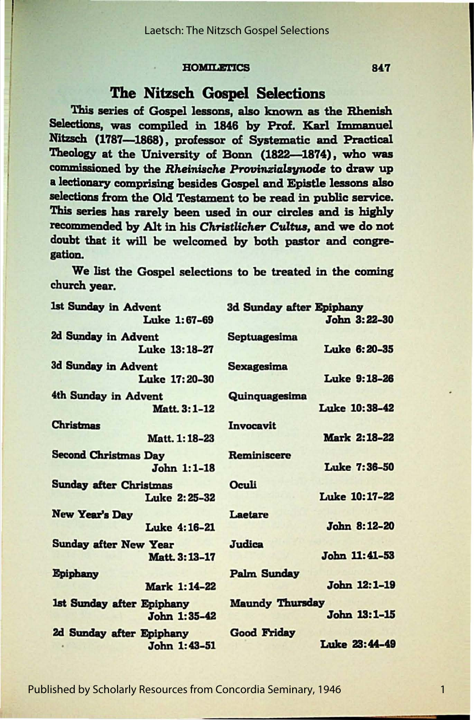### **HOMILETICS**

## The Nitzsch Gospel Selections

This series of Gospel lessons, also known as the Rhenish **Selections, was** compiled in 1846 by Prof. Karl **Immanuel**  Nitzsch (1787-1868), professor of Systematic and Practical Theology at the University of Bonn (1822-1874), who was commissioned by the *Rheinische Provinzialsynode* to draw up a lectionary comprising besides Gospel and Epistle lessons also selections from the Old Testament to be read in public service. This series has rarely been used in our circles and is highly recommended by Alt in his *Chriatlicher* Cultua, and we do not doubt that it will be welcomed by both pastor and congregation.

We list the Gospel selections to be treated in the coming church **year.** 

| 1st Sunday in Advent          | 3d Sunday after Epiphany |
|-------------------------------|--------------------------|
| Luke 1:67-69                  | John 3:22-30             |
| 2d Sunday in Advent           | <b>Septuagesima</b>      |
| Luke 13:18-27                 | Luke 6:20-35             |
| 3d Sunday in Advent           | <b>Sexagesima</b>        |
| Luke 17:20-30                 | <b>Luke 9:18-26</b>      |
| 4th Sunday in Advent          | Quinquagesima            |
| Matt. 3:1-12                  | Luke 10:38-42            |
| <b>Christmas</b>              | Invocavit                |
| Matt. 1:18-23                 | Mark 2:18-22             |
| <b>Second Christmas Day</b>   | Reminiscere              |
| John 1:1-18                   | Luke 7:36-50             |
| <b>Sunday after Christmas</b> | Oculi                    |
| <b>Luke 2:25-32</b>           | Luke 10:17-22            |
| <b>New Year's Day</b>         | Laetare                  |
| Luke 4:16-21                  | John 8:12-20             |
| <b>Sunday after New Year</b>  | <b>Judica</b>            |
| Matt. 3:13-17                 | John 11:41-53            |
| <b>Epiphany</b>               | <b>Palm Sunday</b>       |
| Mark 1:14-22                  | John 12:1-19             |
| 1st Sunday after Epiphany     | <b>Maundy Thursday</b>   |
| John 1:35-42                  | John 13:1-15             |
| 2d Sunday after Epiphany      | <b>Good Friday</b>       |
| John 1:43-51                  | Luke 23:44-49            |

Published by Scholarly Resources from Concordia Seminary, 1946

1